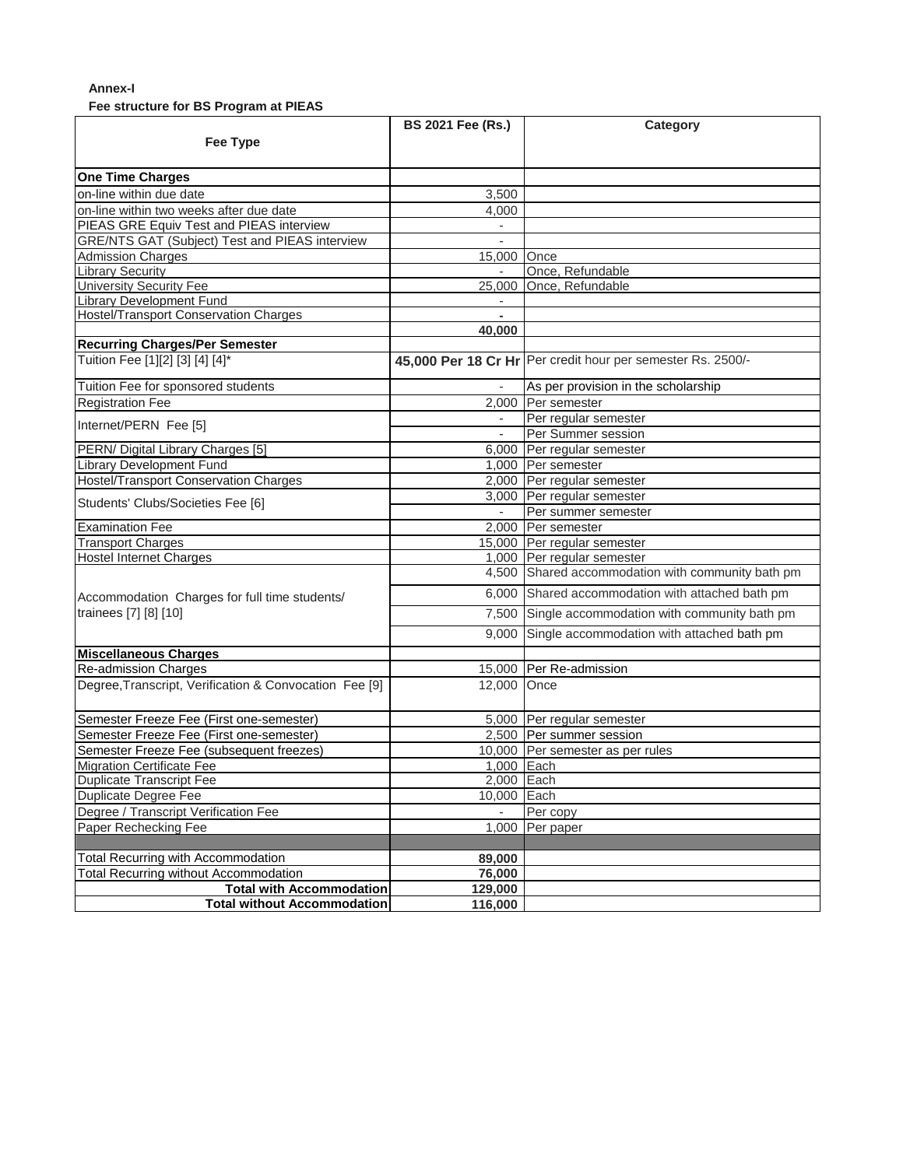## **Annex-I**

**Fee structure for BS Program at PIEAS**

|                                                        | <b>BS 2021 Fee (Rs.)</b> | Category                                                    |
|--------------------------------------------------------|--------------------------|-------------------------------------------------------------|
| <b>Fee Type</b>                                        |                          |                                                             |
|                                                        |                          |                                                             |
| <b>One Time Charges</b>                                |                          |                                                             |
| on-line within due date                                | 3,500                    |                                                             |
| on-line within two weeks after due date                | 4,000                    |                                                             |
| PIEAS GRE Equiv Test and PIEAS interview               | $\overline{\phantom{a}}$ |                                                             |
| <b>GRE/NTS GAT (Subject) Test and PIEAS interview</b>  |                          |                                                             |
| <b>Admission Charges</b>                               | 15,000 Once              |                                                             |
| <b>Library Security</b>                                | $\overline{\phantom{a}}$ | Once, Refundable                                            |
| <b>University Security Fee</b>                         |                          | 25,000 Once, Refundable                                     |
| <b>Library Development Fund</b>                        |                          |                                                             |
| <b>Hostel/Transport Conservation Charges</b>           | $\mathbf{r}$             |                                                             |
|                                                        | 40,000                   |                                                             |
| <b>Recurring Charges/Per Semester</b>                  |                          |                                                             |
| Tuition Fee [1][2] [3] [4] [4]*                        |                          | 45,000 Per 18 Cr Hr Per credit hour per semester Rs. 2500/- |
| Tuition Fee for sponsored students                     |                          | As per provision in the scholarship                         |
| <b>Registration Fee</b>                                |                          | 2,000 Per semester                                          |
|                                                        |                          | Per regular semester                                        |
| Internet/PERN Fee [5]                                  |                          | Per Summer session                                          |
| PERN/ Digital Library Charges [5]                      |                          | 6,000 Per regular semester                                  |
| <b>Library Development Fund</b>                        |                          | 1,000 Per semester                                          |
| <b>Hostel/Transport Conservation Charges</b>           |                          | 2,000 Per regular semester                                  |
|                                                        |                          | 3,000 Per regular semester                                  |
| Students' Clubs/Societies Fee [6]                      |                          | Per summer semester                                         |
| <b>Examination Fee</b>                                 |                          | 2,000 Per semester                                          |
| <b>Transport Charges</b>                               |                          | 15,000 Per regular semester                                 |
| <b>Hostel Internet Charges</b>                         |                          | 1,000 Per regular semester                                  |
|                                                        |                          | 4,500 Shared accommodation with community bath pm           |
| Accommodation Charges for full time students/          |                          | 6,000 Shared accommodation with attached bath pm            |
| trainees [7] [8] [10]                                  |                          | 7,500 Single accommodation with community bath pm           |
|                                                        |                          | 9,000 Single accommodation with attached bath pm            |
| <b>Miscellaneous Charges</b>                           |                          |                                                             |
| <b>Re-admission Charges</b>                            |                          | 15,000 Per Re-admission                                     |
|                                                        |                          |                                                             |
| Degree, Transcript, Verification & Convocation Fee [9] | 12,000 Once              |                                                             |
| Semester Freeze Fee (First one-semester)               |                          | 5,000 Per regular semester                                  |
| Semester Freeze Fee (First one-semester)               |                          | 2,500 Per summer session                                    |
| Semester Freeze Fee (subsequent freezes)               |                          | 10,000 Per semester as per rules                            |
| <b>Migration Certificate Fee</b>                       | 1,000 Each               |                                                             |
| <b>Duplicate Transcript Fee</b>                        | 2,000 Each               |                                                             |
| Duplicate Degree Fee                                   | 10.000 Each              |                                                             |
| Degree / Transcript Verification Fee                   |                          | Per copy                                                    |
| Paper Rechecking Fee                                   | 1,000                    | Per paper                                                   |
|                                                        |                          |                                                             |
| Total Recurring with Accommodation                     | 89,000                   |                                                             |
| Total Recurring without Accommodation                  | 76,000                   |                                                             |
| <b>Total with Accommodation</b>                        | 129,000                  |                                                             |
| <b>Total without Accommodation</b>                     | 116,000                  |                                                             |